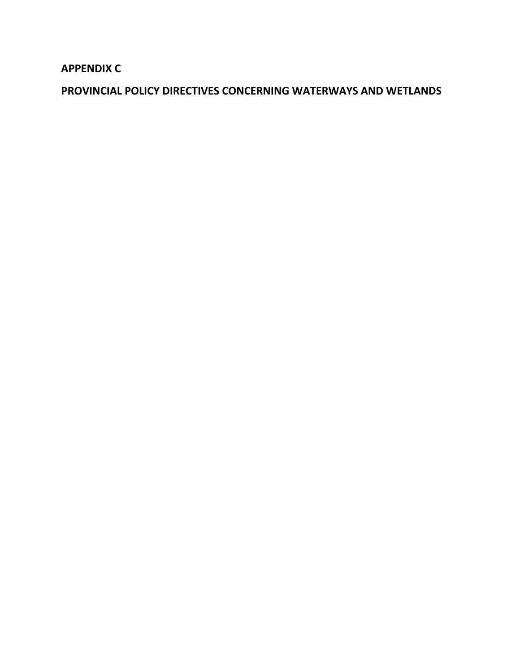**APPENDIX C**

**PROVINCIAL POLICY DIRECTIVES CONCERNING WATERWAYS AND WETLANDS**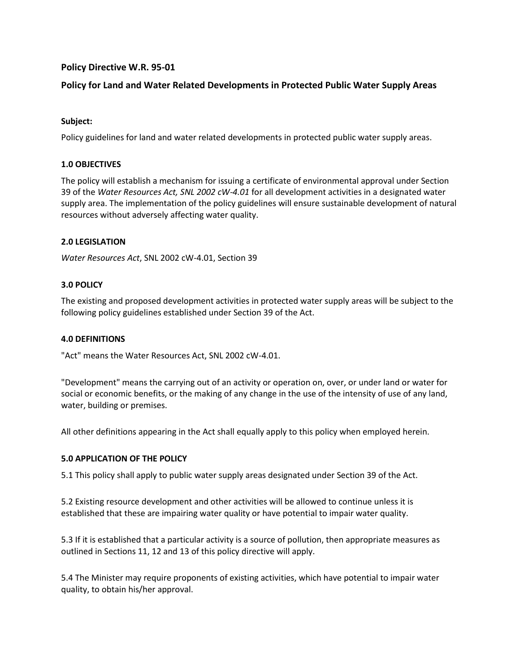# **Policy Directive W.R. 95-01**

# **Policy for Land and Water Related Developments in Protected Public Water Supply Areas**

## **Subject:**

Policy guidelines for land and water related developments in protected public water supply areas.

#### **1.0 OBJECTIVES**

The policy will establish a mechanism for issuing a certificate of environmental approval under Section 39 of the *Water Resources Act, SNL 2002 cW-4.01* for all development activities in a designated water supply area. The implementation of the policy guidelines will ensure sustainable development of natural resources without adversely affecting water quality.

#### **2.0 LEGISLATION**

*Water Resources Act*, SNL 2002 cW-4.01, Section 39

#### **3.0 POLICY**

The existing and proposed development activities in protected water supply areas will be subject to the following policy guidelines established under Section 39 of the Act.

#### **4.0 DEFINITIONS**

"Act" means the Water Resources Act, SNL 2002 cW-4.01.

"Development" means the carrying out of an activity or operation on, over, or under land or water for social or economic benefits, or the making of any change in the use of the intensity of use of any land, water, building or premises.

All other definitions appearing in the Act shall equally apply to this policy when employed herein.

## **5.0 APPLICATION OF THE POLICY**

5.1 This policy shall apply to public water supply areas designated under Section 39 of the Act.

5.2 Existing resource development and other activities will be allowed to continue unless it is established that these are impairing water quality or have potential to impair water quality.

5.3 If it is established that a particular activity is a source of pollution, then appropriate measures as outlined in Sections 11, 12 and 13 of this policy directive will apply.

5.4 The Minister may require proponents of existing activities, which have potential to impair water quality, to obtain his/her approval.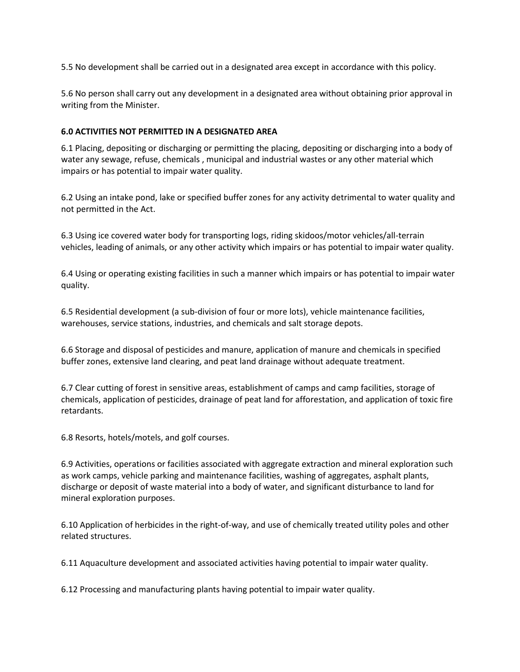5.5 No development shall be carried out in a designated area except in accordance with this policy.

5.6 No person shall carry out any development in a designated area without obtaining prior approval in writing from the Minister.

# **6.0 ACTIVITIES NOT PERMITTED IN A DESIGNATED AREA**

6.1 Placing, depositing or discharging or permitting the placing, depositing or discharging into a body of water any sewage, refuse, chemicals , municipal and industrial wastes or any other material which impairs or has potential to impair water quality.

6.2 Using an intake pond, lake or specified buffer zones for any activity detrimental to water quality and not permitted in the Act.

6.3 Using ice covered water body for transporting logs, riding skidoos/motor vehicles/all-terrain vehicles, leading of animals, or any other activity which impairs or has potential to impair water quality.

6.4 Using or operating existing facilities in such a manner which impairs or has potential to impair water quality.

6.5 Residential development (a sub-division of four or more lots), vehicle maintenance facilities, warehouses, service stations, industries, and chemicals and salt storage depots.

6.6 Storage and disposal of pesticides and manure, application of manure and chemicals in specified buffer zones, extensive land clearing, and peat land drainage without adequate treatment.

6.7 Clear cutting of forest in sensitive areas, establishment of camps and camp facilities, storage of chemicals, application of pesticides, drainage of peat land for afforestation, and application of toxic fire retardants.

6.8 Resorts, hotels/motels, and golf courses.

6.9 Activities, operations or facilities associated with aggregate extraction and mineral exploration such as work camps, vehicle parking and maintenance facilities, washing of aggregates, asphalt plants, discharge or deposit of waste material into a body of water, and significant disturbance to land for mineral exploration purposes.

6.10 Application of herbicides in the right-of-way, and use of chemically treated utility poles and other related structures.

6.11 Aquaculture development and associated activities having potential to impair water quality.

6.12 Processing and manufacturing plants having potential to impair water quality.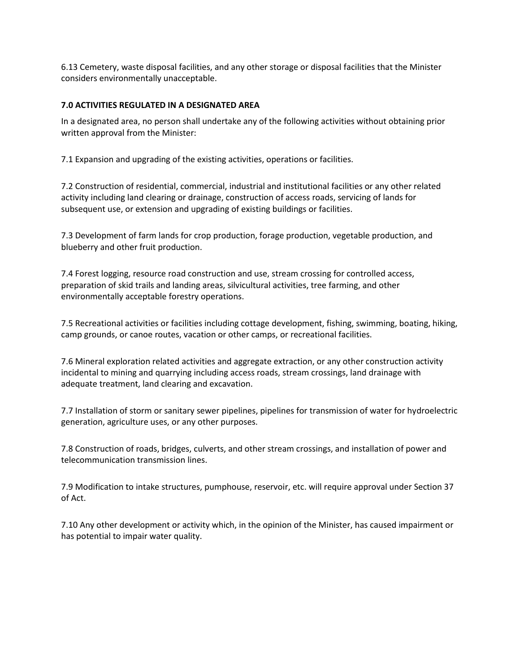6.13 Cemetery, waste disposal facilities, and any other storage or disposal facilities that the Minister considers environmentally unacceptable.

# **7.0 ACTIVITIES REGULATED IN A DESIGNATED AREA**

In a designated area, no person shall undertake any of the following activities without obtaining prior written approval from the Minister:

7.1 Expansion and upgrading of the existing activities, operations or facilities.

7.2 Construction of residential, commercial, industrial and institutional facilities or any other related activity including land clearing or drainage, construction of access roads, servicing of lands for subsequent use, or extension and upgrading of existing buildings or facilities.

7.3 Development of farm lands for crop production, forage production, vegetable production, and blueberry and other fruit production.

7.4 Forest logging, resource road construction and use, stream crossing for controlled access, preparation of skid trails and landing areas, silvicultural activities, tree farming, and other environmentally acceptable forestry operations.

7.5 Recreational activities or facilities including cottage development, fishing, swimming, boating, hiking, camp grounds, or canoe routes, vacation or other camps, or recreational facilities.

7.6 Mineral exploration related activities and aggregate extraction, or any other construction activity incidental to mining and quarrying including access roads, stream crossings, land drainage with adequate treatment, land clearing and excavation.

7.7 Installation of storm or sanitary sewer pipelines, pipelines for transmission of water for hydroelectric generation, agriculture uses, or any other purposes.

7.8 Construction of roads, bridges, culverts, and other stream crossings, and installation of power and telecommunication transmission lines.

7.9 Modification to intake structures, pumphouse, reservoir, etc. will require approval under Section 37 of Act.

7.10 Any other development or activity which, in the opinion of the Minister, has caused impairment or has potential to impair water quality.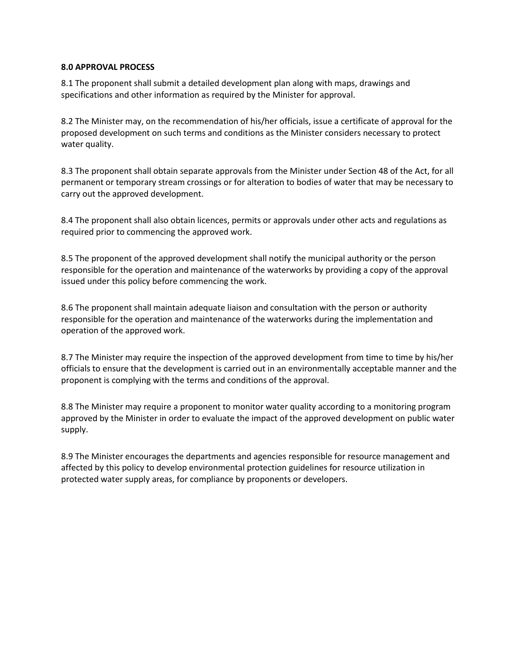#### **8.0 APPROVAL PROCESS**

8.1 The proponent shall submit a detailed development plan along with maps, drawings and specifications and other information as required by the Minister for approval.

8.2 The Minister may, on the recommendation of his/her officials, issue a certificate of approval for the proposed development on such terms and conditions as the Minister considers necessary to protect water quality.

8.3 The proponent shall obtain separate approvals from the Minister under Section 48 of the Act, for all permanent or temporary stream crossings or for alteration to bodies of water that may be necessary to carry out the approved development.

8.4 The proponent shall also obtain licences, permits or approvals under other acts and regulations as required prior to commencing the approved work.

8.5 The proponent of the approved development shall notify the municipal authority or the person responsible for the operation and maintenance of the waterworks by providing a copy of the approval issued under this policy before commencing the work.

8.6 The proponent shall maintain adequate liaison and consultation with the person or authority responsible for the operation and maintenance of the waterworks during the implementation and operation of the approved work.

8.7 The Minister may require the inspection of the approved development from time to time by his/her officials to ensure that the development is carried out in an environmentally acceptable manner and the proponent is complying with the terms and conditions of the approval.

8.8 The Minister may require a proponent to monitor water quality according to a monitoring program approved by the Minister in order to evaluate the impact of the approved development on public water supply.

8.9 The Minister encourages the departments and agencies responsible for resource management and affected by this policy to develop environmental protection guidelines for resource utilization in protected water supply areas, for compliance by proponents or developers.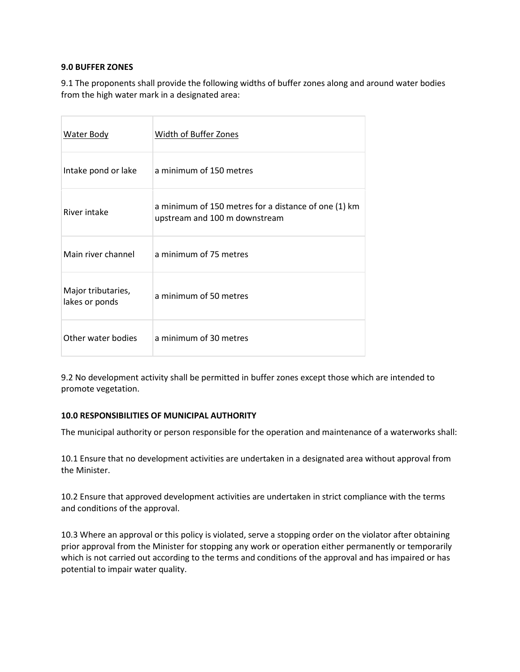#### **9.0 BUFFER ZONES**

9.1 The proponents shall provide the following widths of buffer zones along and around water bodies from the high water mark in a designated area:

| Water Body                           | Width of Buffer Zones                                                                 |
|--------------------------------------|---------------------------------------------------------------------------------------|
| Intake pond or lake                  | a minimum of 150 metres                                                               |
| River intake                         | a minimum of 150 metres for a distance of one (1) km<br>upstream and 100 m downstream |
| Main river channel                   | a minimum of 75 metres                                                                |
| Major tributaries,<br>lakes or ponds | a minimum of 50 metres                                                                |
| Other water bodies                   | a minimum of 30 metres                                                                |

9.2 No development activity shall be permitted in buffer zones except those which are intended to promote vegetation.

#### **10.0 RESPONSIBILITIES OF MUNICIPAL AUTHORITY**

The municipal authority or person responsible for the operation and maintenance of a waterworks shall:

10.1 Ensure that no development activities are undertaken in a designated area without approval from the Minister.

10.2 Ensure that approved development activities are undertaken in strict compliance with the terms and conditions of the approval.

10.3 Where an approval or this policy is violated, serve a stopping order on the violator after obtaining prior approval from the Minister for stopping any work or operation either permanently or temporarily which is not carried out according to the terms and conditions of the approval and has impaired or has potential to impair water quality.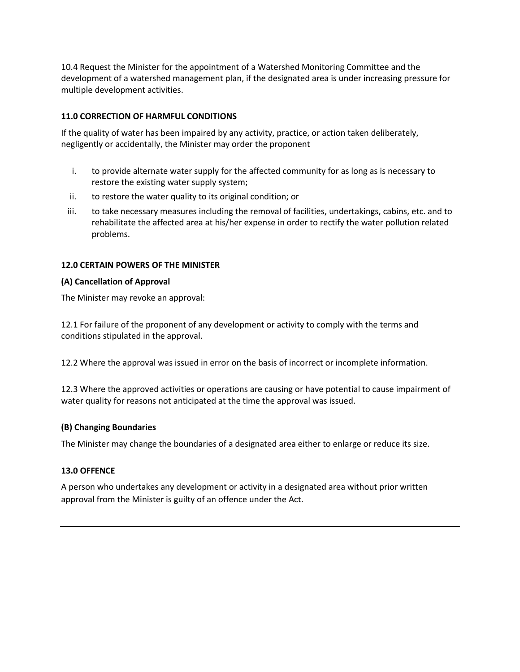10.4 Request the Minister for the appointment of a Watershed Monitoring Committee and the development of a watershed management plan, if the designated area is under increasing pressure for multiple development activities.

# **11.0 CORRECTION OF HARMFUL CONDITIONS**

If the quality of water has been impaired by any activity, practice, or action taken deliberately, negligently or accidentally, the Minister may order the proponent

- i. to provide alternate water supply for the affected community for as long as is necessary to restore the existing water supply system;
- ii. to restore the water quality to its original condition; or
- iii. to take necessary measures including the removal of facilities, undertakings, cabins, etc. and to rehabilitate the affected area at his/her expense in order to rectify the water pollution related problems.

## **12.0 CERTAIN POWERS OF THE MINISTER**

## **(A) Cancellation of Approval**

The Minister may revoke an approval:

12.1 For failure of the proponent of any development or activity to comply with the terms and conditions stipulated in the approval.

12.2 Where the approval was issued in error on the basis of incorrect or incomplete information.

12.3 Where the approved activities or operations are causing or have potential to cause impairment of water quality for reasons not anticipated at the time the approval was issued.

## **(B) Changing Boundaries**

The Minister may change the boundaries of a designated area either to enlarge or reduce its size.

## **13.0 OFFENCE**

A person who undertakes any development or activity in a designated area without prior written approval from the Minister is guilty of an offence under the Act.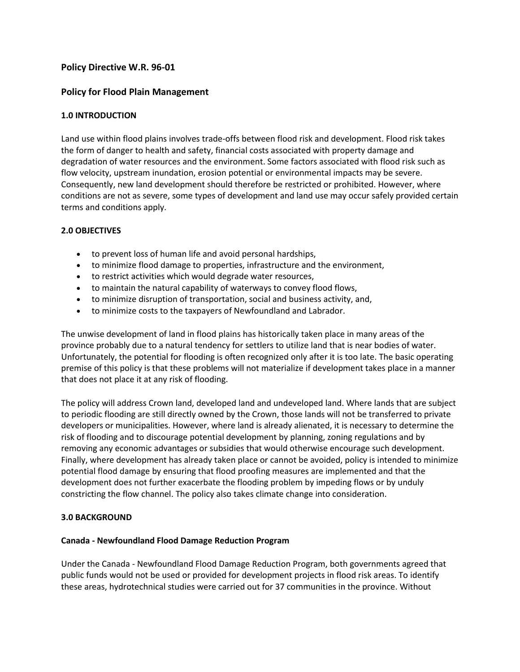# **Policy Directive W.R. 96-01**

# **Policy for Flood Plain Management**

## **1.0 INTRODUCTION**

Land use within flood plains involves trade-offs between flood risk and development. Flood risk takes the form of danger to health and safety, financial costs associated with property damage and degradation of water resources and the environment. Some factors associated with flood risk such as flow velocity, upstream inundation, erosion potential or environmental impacts may be severe. Consequently, new land development should therefore be restricted or prohibited. However, where conditions are not as severe, some types of development and land use may occur safely provided certain terms and conditions apply.

#### **2.0 OBJECTIVES**

- to prevent loss of human life and avoid personal hardships,
- to minimize flood damage to properties, infrastructure and the environment,
- to restrict activities which would degrade water resources,
- to maintain the natural capability of waterways to convey flood flows,
- to minimize disruption of transportation, social and business activity, and,
- to minimize costs to the taxpayers of Newfoundland and Labrador.

The unwise development of land in flood plains has historically taken place in many areas of the province probably due to a natural tendency for settlers to utilize land that is near bodies of water. Unfortunately, the potential for flooding is often recognized only after it is too late. The basic operating premise of this policy is that these problems will not materialize if development takes place in a manner that does not place it at any risk of flooding.

The policy will address Crown land, developed land and undeveloped land. Where lands that are subject to periodic flooding are still directly owned by the Crown, those lands will not be transferred to private developers or municipalities. However, where land is already alienated, it is necessary to determine the risk of flooding and to discourage potential development by planning, zoning regulations and by removing any economic advantages or subsidies that would otherwise encourage such development. Finally, where development has already taken place or cannot be avoided, policy is intended to minimize potential flood damage by ensuring that flood proofing measures are implemented and that the development does not further exacerbate the flooding problem by impeding flows or by unduly constricting the flow channel. The policy also takes climate change into consideration.

## **3.0 BACKGROUND**

#### **Canada - Newfoundland Flood Damage Reduction Program**

Under the Canada - Newfoundland Flood Damage Reduction Program, both governments agreed that public funds would not be used or provided for development projects in flood risk areas. To identify these areas, hydrotechnical studies were carried out for 37 communities in the province. Without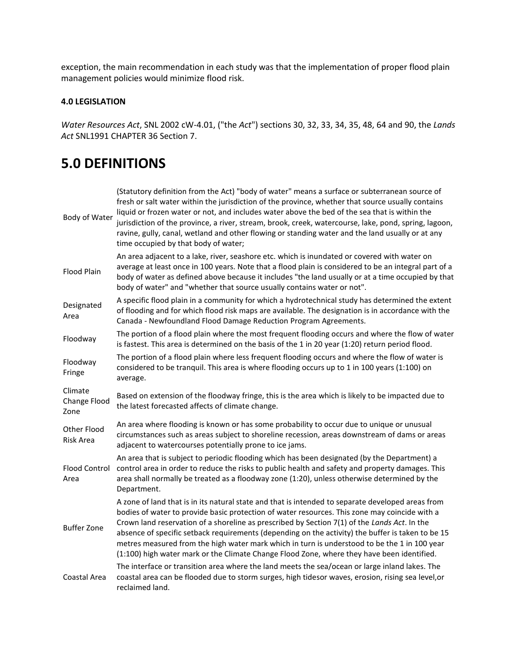exception, the main recommendation in each study was that the implementation of proper flood plain management policies would minimize flood risk.

# **4.0 LEGISLATION**

*Water Resources Act*, SNL 2002 cW-4.01, ("the *Act*") sections 30, 32, 33, 34, 35, 48, 64 and 90, the *Lands Act* SNL1991 CHAPTER 36 Section 7.

# **5.0 DEFINITIONS**

| Body of Water                   | (Statutory definition from the Act) "body of water" means a surface or subterranean source of<br>fresh or salt water within the jurisdiction of the province, whether that source usually contains<br>liquid or frozen water or not, and includes water above the bed of the sea that is within the<br>jurisdiction of the province, a river, stream, brook, creek, watercourse, lake, pond, spring, lagoon,<br>ravine, gully, canal, wetland and other flowing or standing water and the land usually or at any<br>time occupied by that body of water;                                              |  |  |
|---------------------------------|-------------------------------------------------------------------------------------------------------------------------------------------------------------------------------------------------------------------------------------------------------------------------------------------------------------------------------------------------------------------------------------------------------------------------------------------------------------------------------------------------------------------------------------------------------------------------------------------------------|--|--|
| <b>Flood Plain</b>              | An area adjacent to a lake, river, seashore etc. which is inundated or covered with water on<br>average at least once in 100 years. Note that a flood plain is considered to be an integral part of a<br>body of water as defined above because it includes "the land usually or at a time occupied by that<br>body of water" and "whether that source usually contains water or not".                                                                                                                                                                                                                |  |  |
| Designated<br>Area              | A specific flood plain in a community for which a hydrotechnical study has determined the extent<br>of flooding and for which flood risk maps are available. The designation is in accordance with the<br>Canada - Newfoundland Flood Damage Reduction Program Agreements.                                                                                                                                                                                                                                                                                                                            |  |  |
| Floodway                        | The portion of a flood plain where the most frequent flooding occurs and where the flow of water<br>is fastest. This area is determined on the basis of the 1 in 20 year (1:20) return period flood.                                                                                                                                                                                                                                                                                                                                                                                                  |  |  |
| Floodway<br>Fringe              | The portion of a flood plain where less frequent flooding occurs and where the flow of water is<br>considered to be tranquil. This area is where flooding occurs up to 1 in 100 years (1:100) on<br>average.                                                                                                                                                                                                                                                                                                                                                                                          |  |  |
| Climate<br>Change Flood<br>Zone | Based on extension of the floodway fringe, this is the area which is likely to be impacted due to<br>the latest forecasted affects of climate change.                                                                                                                                                                                                                                                                                                                                                                                                                                                 |  |  |
| Other Flood<br>Risk Area        | An area where flooding is known or has some probability to occur due to unique or unusual<br>circumstances such as areas subject to shoreline recession, areas downstream of dams or areas<br>adjacent to watercourses potentially prone to ice jams.                                                                                                                                                                                                                                                                                                                                                 |  |  |
| <b>Flood Control</b><br>Area    | An area that is subject to periodic flooding which has been designated (by the Department) a<br>control area in order to reduce the risks to public health and safety and property damages. This<br>area shall normally be treated as a floodway zone (1:20), unless otherwise determined by the<br>Department.                                                                                                                                                                                                                                                                                       |  |  |
| <b>Buffer Zone</b>              | A zone of land that is in its natural state and that is intended to separate developed areas from<br>bodies of water to provide basic protection of water resources. This zone may coincide with a<br>Crown land reservation of a shoreline as prescribed by Section 7(1) of the Lands Act. In the<br>absence of specific setback requirements (depending on the activity) the buffer is taken to be 15<br>metres measured from the high water mark which in turn is understood to be the 1 in 100 year<br>(1:100) high water mark or the Climate Change Flood Zone, where they have been identified. |  |  |
| Coastal Area                    | The interface or transition area where the land meets the sea/ocean or large inland lakes. The<br>coastal area can be flooded due to storm surges, high tidesor waves, erosion, rising sea level, or<br>reclaimed land.                                                                                                                                                                                                                                                                                                                                                                               |  |  |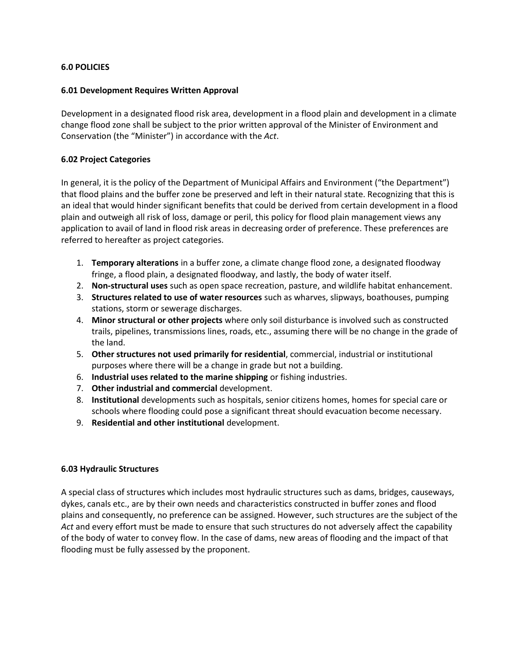# **6.0 POLICIES**

# **6.01 Development Requires Written Approval**

Development in a designated flood risk area, development in a flood plain and development in a climate change flood zone shall be subject to the prior written approval of the Minister of Environment and Conservation (the "Minister") in accordance with the *Act*.

# **6.02 Project Categories**

In general, it is the policy of the Department of Municipal Affairs and Environment ("the Department") that flood plains and the buffer zone be preserved and left in their natural state. Recognizing that this is an ideal that would hinder significant benefits that could be derived from certain development in a flood plain and outweigh all risk of loss, damage or peril, this policy for flood plain management views any application to avail of land in flood risk areas in decreasing order of preference. These preferences are referred to hereafter as project categories.

- 1. **Temporary alterations** in a buffer zone, a climate change flood zone, a designated floodway fringe, a flood plain, a designated floodway, and lastly, the body of water itself.
- 2. **Non-structural uses** such as open space recreation, pasture, and wildlife habitat enhancement.
- 3. **Structures related to use of water resources** such as wharves, slipways, boathouses, pumping stations, storm or sewerage discharges.
- 4. **Minor structural or other projects** where only soil disturbance is involved such as constructed trails, pipelines, transmissions lines, roads, etc., assuming there will be no change in the grade of the land.
- 5. **Other structures not used primarily for residential**, commercial, industrial or institutional purposes where there will be a change in grade but not a building.
- 6. **Industrial uses related to the marine shipping** or fishing industries.
- 7. **Other industrial and commercial** development.
- 8. **Institutional** developments such as hospitals, senior citizens homes, homes for special care or schools where flooding could pose a significant threat should evacuation become necessary.
- 9. **Residential and other institutional** development.

## **6.03 Hydraulic Structures**

A special class of structures which includes most hydraulic structures such as dams, bridges, causeways, dykes, canals etc., are by their own needs and characteristics constructed in buffer zones and flood plains and consequently, no preference can be assigned. However, such structures are the subject of the *Act* and every effort must be made to ensure that such structures do not adversely affect the capability of the body of water to convey flow. In the case of dams, new areas of flooding and the impact of that flooding must be fully assessed by the proponent.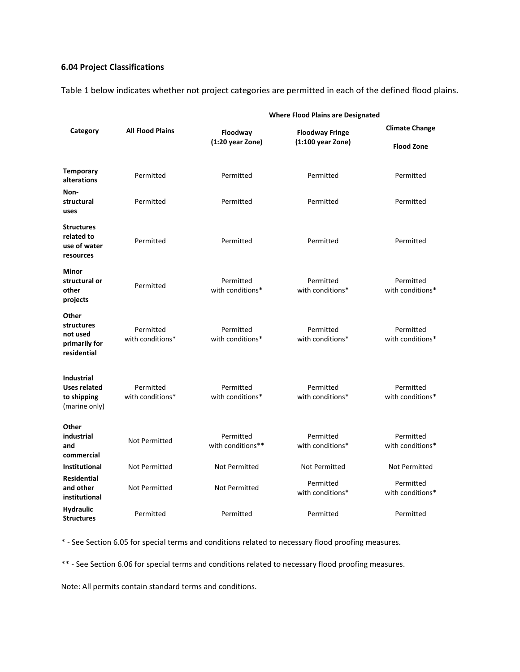# **6.04 Project Classifications**

Table 1 below indicates whether not project categories are permitted in each of the defined flood plains.

|                                                                          | <b>All Flood Plains</b>       | <b>Where Flood Plains are Designated</b> |                                               |                               |
|--------------------------------------------------------------------------|-------------------------------|------------------------------------------|-----------------------------------------------|-------------------------------|
| Category                                                                 |                               | Floodway<br>$(1:20 \text{ year}$ Zone)   | <b>Floodway Fringe</b><br>$(1:100$ year Zone) | <b>Climate Change</b>         |
|                                                                          |                               |                                          |                                               | <b>Flood Zone</b>             |
| <b>Temporary</b><br>alterations                                          | Permitted                     | Permitted                                | Permitted                                     | Permitted                     |
| Non-<br>structural<br>uses                                               | Permitted                     | Permitted                                | Permitted                                     | Permitted                     |
| <b>Structures</b><br>related to<br>use of water<br>resources             | Permitted                     | Permitted                                | Permitted                                     | Permitted                     |
| <b>Minor</b><br>structural or<br>other<br>projects                       | Permitted                     | Permitted<br>with conditions*            | Permitted<br>with conditions*                 | Permitted<br>with conditions* |
| Other<br>structures<br>not used<br>primarily for<br>residential          | Permitted<br>with conditions* | Permitted<br>with conditions*            | Permitted<br>with conditions*                 | Permitted<br>with conditions* |
| <b>Industrial</b><br><b>Uses related</b><br>to shipping<br>(marine only) | Permitted<br>with conditions* | Permitted<br>with conditions*            | Permitted<br>with conditions*                 | Permitted<br>with conditions* |
| Other<br>industrial<br>and<br>commercial                                 | <b>Not Permitted</b>          | Permitted<br>with conditions**           | Permitted<br>with conditions*                 | Permitted<br>with conditions* |
| Institutional                                                            | Not Permitted                 | Not Permitted                            | Not Permitted                                 | Not Permitted                 |
| <b>Residential</b><br>and other<br>institutional                         | <b>Not Permitted</b>          | Not Permitted                            | Permitted<br>with conditions*                 | Permitted<br>with conditions* |
| <b>Hydraulic</b><br><b>Structures</b>                                    | Permitted                     | Permitted                                | Permitted                                     | Permitted                     |

\* - See Section 6.05 for special terms and conditions related to necessary flood proofing measures.

\*\* - See Section 6.06 for special terms and conditions related to necessary flood proofing measures.

Note: All permits contain standard terms and conditions.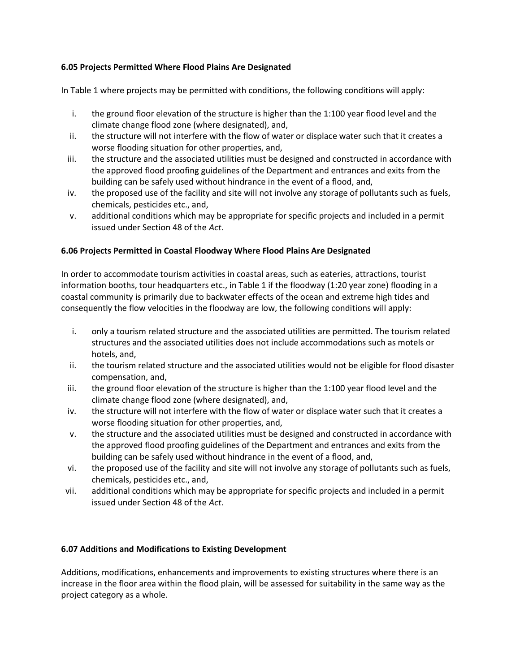# **6.05 Projects Permitted Where Flood Plains Are Designated**

In Table 1 where projects may be permitted with conditions, the following conditions will apply:

- i. the ground floor elevation of the structure is higher than the 1:100 year flood level and the climate change flood zone (where designated), and,
- ii. the structure will not interfere with the flow of water or displace water such that it creates a worse flooding situation for other properties, and,
- iii. the structure and the associated utilities must be designed and constructed in accordance with the approved flood proofing guidelines of the Department and entrances and exits from the building can be safely used without hindrance in the event of a flood, and,
- iv. the proposed use of the facility and site will not involve any storage of pollutants such as fuels, chemicals, pesticides etc., and,
- v. additional conditions which may be appropriate for specific projects and included in a permit issued under Section 48 of the *Act*.

# **6.06 Projects Permitted in Coastal Floodway Where Flood Plains Are Designated**

In order to accommodate tourism activities in coastal areas, such as eateries, attractions, tourist information booths, tour headquarters etc., in Table 1 if the floodway (1:20 year zone) flooding in a coastal community is primarily due to backwater effects of the ocean and extreme high tides and consequently the flow velocities in the floodway are low, the following conditions will apply:

- i. only a tourism related structure and the associated utilities are permitted. The tourism related structures and the associated utilities does not include accommodations such as motels or hotels, and,
- ii. the tourism related structure and the associated utilities would not be eligible for flood disaster compensation, and,
- iii. the ground floor elevation of the structure is higher than the 1:100 year flood level and the climate change flood zone (where designated), and,
- iv. the structure will not interfere with the flow of water or displace water such that it creates a worse flooding situation for other properties, and,
- v. the structure and the associated utilities must be designed and constructed in accordance with the approved flood proofing guidelines of the Department and entrances and exits from the building can be safely used without hindrance in the event of a flood, and,
- vi. the proposed use of the facility and site will not involve any storage of pollutants such as fuels, chemicals, pesticides etc., and,
- vii. additional conditions which may be appropriate for specific projects and included in a permit issued under Section 48 of the *Act*.

## **6.07 Additions and Modifications to Existing Development**

Additions, modifications, enhancements and improvements to existing structures where there is an increase in the floor area within the flood plain, will be assessed for suitability in the same way as the project category as a whole.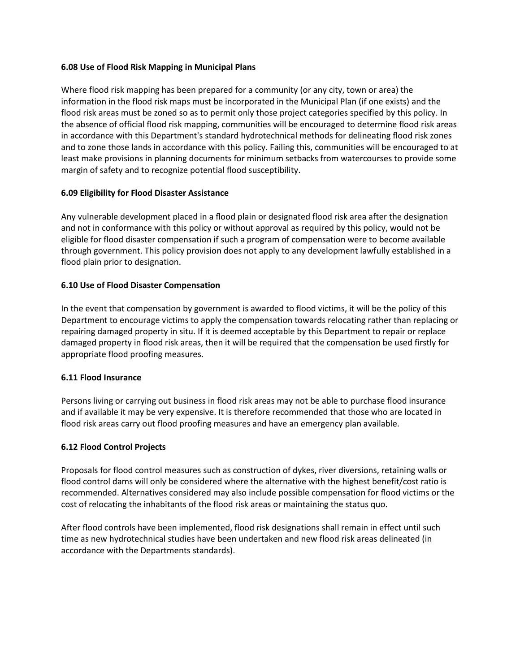## **6.08 Use of Flood Risk Mapping in Municipal Plans**

Where flood risk mapping has been prepared for a community (or any city, town or area) the information in the flood risk maps must be incorporated in the Municipal Plan (if one exists) and the flood risk areas must be zoned so as to permit only those project categories specified by this policy. In the absence of official flood risk mapping, communities will be encouraged to determine flood risk areas in accordance with this Department's standard hydrotechnical methods for delineating flood risk zones and to zone those lands in accordance with this policy. Failing this, communities will be encouraged to at least make provisions in planning documents for minimum setbacks from watercourses to provide some margin of safety and to recognize potential flood susceptibility.

## **6.09 Eligibility for Flood Disaster Assistance**

Any vulnerable development placed in a flood plain or designated flood risk area after the designation and not in conformance with this policy or without approval as required by this policy, would not be eligible for flood disaster compensation if such a program of compensation were to become available through government. This policy provision does not apply to any development lawfully established in a flood plain prior to designation.

## **6.10 Use of Flood Disaster Compensation**

In the event that compensation by government is awarded to flood victims, it will be the policy of this Department to encourage victims to apply the compensation towards relocating rather than replacing or repairing damaged property in situ. If it is deemed acceptable by this Department to repair or replace damaged property in flood risk areas, then it will be required that the compensation be used firstly for appropriate flood proofing measures.

## **6.11 Flood Insurance**

Persons living or carrying out business in flood risk areas may not be able to purchase flood insurance and if available it may be very expensive. It is therefore recommended that those who are located in flood risk areas carry out flood proofing measures and have an emergency plan available.

## **6.12 Flood Control Projects**

Proposals for flood control measures such as construction of dykes, river diversions, retaining walls or flood control dams will only be considered where the alternative with the highest benefit/cost ratio is recommended. Alternatives considered may also include possible compensation for flood victims or the cost of relocating the inhabitants of the flood risk areas or maintaining the status quo.

After flood controls have been implemented, flood risk designations shall remain in effect until such time as new hydrotechnical studies have been undertaken and new flood risk areas delineated (in accordance with the Departments standards).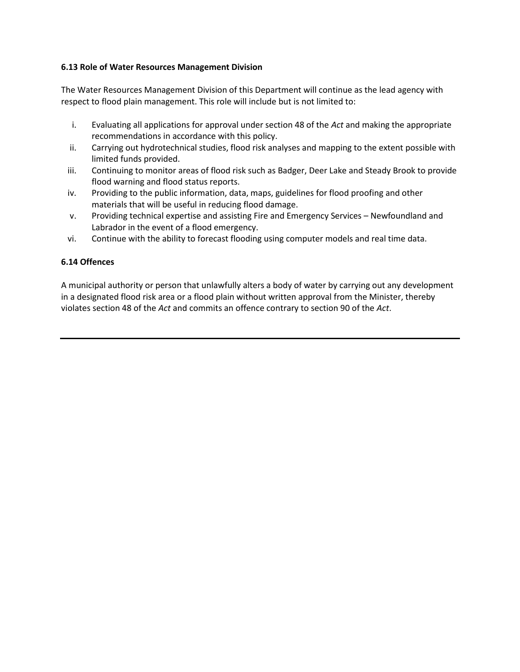# **6.13 Role of Water Resources Management Division**

The Water Resources Management Division of this Department will continue as the lead agency with respect to flood plain management. This role will include but is not limited to:

- i. Evaluating all applications for approval under section 48 of the *Act* and making the appropriate recommendations in accordance with this policy.
- ii. Carrying out hydrotechnical studies, flood risk analyses and mapping to the extent possible with limited funds provided.
- iii. Continuing to monitor areas of flood risk such as Badger, Deer Lake and Steady Brook to provide flood warning and flood status reports.
- iv. Providing to the public information, data, maps, guidelines for flood proofing and other materials that will be useful in reducing flood damage.
- v. Providing technical expertise and assisting Fire and Emergency Services Newfoundland and Labrador in the event of a flood emergency.
- vi. Continue with the ability to forecast flooding using computer models and real time data.

# **6.14 Offences**

A municipal authority or person that unlawfully alters a body of water by carrying out any development in a designated flood risk area or a flood plain without written approval from the Minister, thereby violates section 48 of the *Act* and commits an offence contrary to section 90 of the *Act*.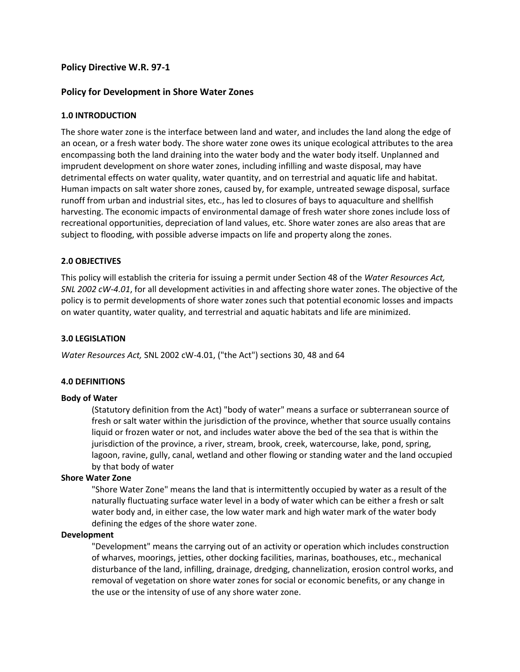# **Policy Directive W.R. 97-1**

# **Policy for Development in Shore Water Zones**

#### **1.0 INTRODUCTION**

The shore water zone is the interface between land and water, and includes the land along the edge of an ocean, or a fresh water body. The shore water zone owes its unique ecological attributes to the area encompassing both the land draining into the water body and the water body itself. Unplanned and imprudent development on shore water zones, including infilling and waste disposal, may have detrimental effects on water quality, water quantity, and on terrestrial and aquatic life and habitat. Human impacts on salt water shore zones, caused by, for example, untreated sewage disposal, surface runoff from urban and industrial sites, etc., has led to closures of bays to aquaculture and shellfish harvesting. The economic impacts of environmental damage of fresh water shore zones include loss of recreational opportunities, depreciation of land values, etc. Shore water zones are also areas that are subject to flooding, with possible adverse impacts on life and property along the zones.

#### **2.0 OBJECTIVES**

This policy will establish the criteria for issuing a permit under Section 48 of the *Water Resources Act, SNL 2002 cW-4.01*, for all development activities in and affecting shore water zones. The objective of the policy is to permit developments of shore water zones such that potential economic losses and impacts on water quantity, water quality, and terrestrial and aquatic habitats and life are minimized.

#### **3.0 LEGISLATION**

*Water Resources Act,* SNL 2002 cW-4.01, ("the Act") sections 30, 48 and 64

# **4.0 DEFINITIONS**

#### **Body of Water**

(Statutory definition from the Act) "body of water" means a surface or subterranean source of fresh or salt water within the jurisdiction of the province, whether that source usually contains liquid or frozen water or not, and includes water above the bed of the sea that is within the jurisdiction of the province, a river, stream, brook, creek, watercourse, lake, pond, spring, lagoon, ravine, gully, canal, wetland and other flowing or standing water and the land occupied by that body of water

#### **Shore Water Zone**

"Shore Water Zone" means the land that is intermittently occupied by water as a result of the naturally fluctuating surface water level in a body of water which can be either a fresh or salt water body and, in either case, the low water mark and high water mark of the water body defining the edges of the shore water zone.

#### **Development**

"Development" means the carrying out of an activity or operation which includes construction of wharves, moorings, jetties, other docking facilities, marinas, boathouses, etc., mechanical disturbance of the land, infilling, drainage, dredging, channelization, erosion control works, and removal of vegetation on shore water zones for social or economic benefits, or any change in the use or the intensity of use of any shore water zone.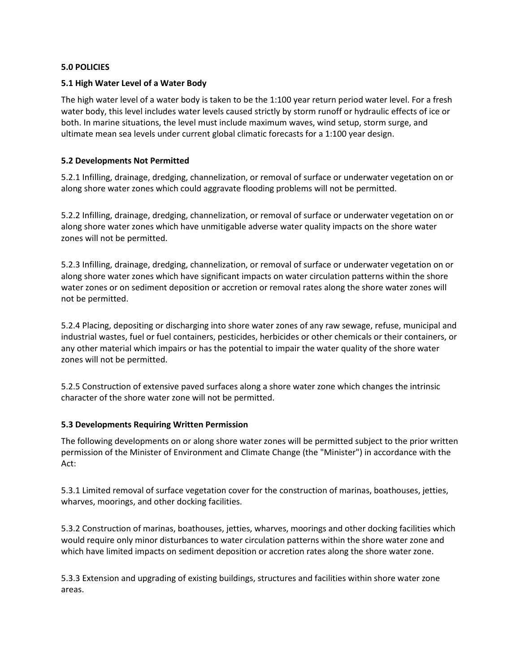#### **5.0 POLICIES**

#### **5.1 High Water Level of a Water Body**

The high water level of a water body is taken to be the 1:100 year return period water level. For a fresh water body, this level includes water levels caused strictly by storm runoff or hydraulic effects of ice or both. In marine situations, the level must include maximum waves, wind setup, storm surge, and ultimate mean sea levels under current global climatic forecasts for a 1:100 year design.

#### **5.2 Developments Not Permitted**

5.2.1 Infilling, drainage, dredging, channelization, or removal of surface or underwater vegetation on or along shore water zones which could aggravate flooding problems will not be permitted.

5.2.2 Infilling, drainage, dredging, channelization, or removal of surface or underwater vegetation on or along shore water zones which have unmitigable adverse water quality impacts on the shore water zones will not be permitted.

5.2.3 Infilling, drainage, dredging, channelization, or removal of surface or underwater vegetation on or along shore water zones which have significant impacts on water circulation patterns within the shore water zones or on sediment deposition or accretion or removal rates along the shore water zones will not be permitted.

5.2.4 Placing, depositing or discharging into shore water zones of any raw sewage, refuse, municipal and industrial wastes, fuel or fuel containers, pesticides, herbicides or other chemicals or their containers, or any other material which impairs or has the potential to impair the water quality of the shore water zones will not be permitted.

5.2.5 Construction of extensive paved surfaces along a shore water zone which changes the intrinsic character of the shore water zone will not be permitted.

#### **5.3 Developments Requiring Written Permission**

The following developments on or along shore water zones will be permitted subject to the prior written permission of the Minister of Environment and Climate Change (the "Minister") in accordance with the Act:

5.3.1 Limited removal of surface vegetation cover for the construction of marinas, boathouses, jetties, wharves, moorings, and other docking facilities.

5.3.2 Construction of marinas, boathouses, jetties, wharves, moorings and other docking facilities which would require only minor disturbances to water circulation patterns within the shore water zone and which have limited impacts on sediment deposition or accretion rates along the shore water zone.

5.3.3 Extension and upgrading of existing buildings, structures and facilities within shore water zone areas.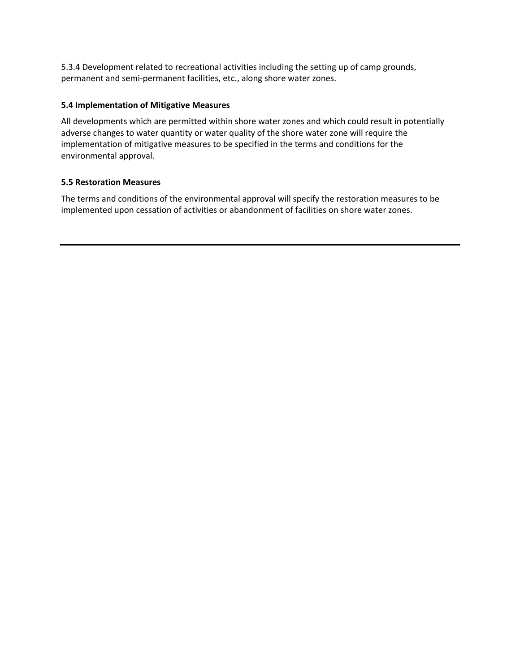5.3.4 Development related to recreational activities including the setting up of camp grounds, permanent and semi-permanent facilities, etc., along shore water zones.

# **5.4 Implementation of Mitigative Measures**

All developments which are permitted within shore water zones and which could result in potentially adverse changes to water quantity or water quality of the shore water zone will require the implementation of mitigative measures to be specified in the terms and conditions for the environmental approval.

## **5.5 Restoration Measures**

The terms and conditions of the environmental approval will specify the restoration measures to be implemented upon cessation of activities or abandonment of facilities on shore water zones.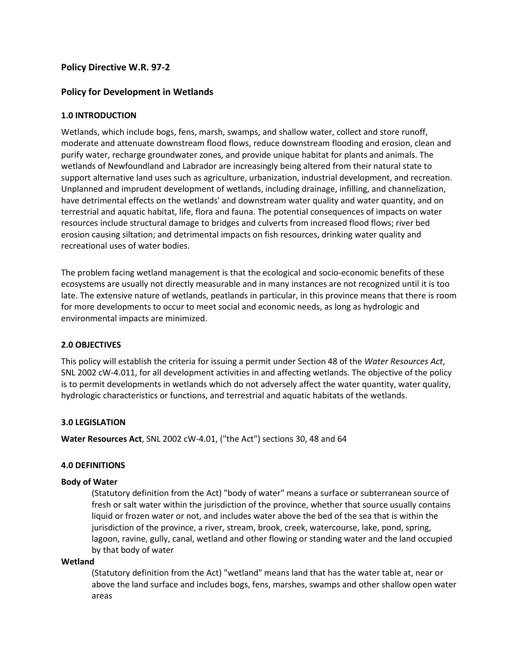# **Policy Directive W.R. 97-2**

# **Policy for Development in Wetlands**

#### **1.0 INTRODUCTION**

Wetlands, which include bogs, fens, marsh, swamps, and shallow water, collect and store runoff, moderate and attenuate downstream flood flows, reduce downstream flooding and erosion, clean and purify water, recharge groundwater zones, and provide unique habitat for plants and animals. The wetlands of Newfoundland and Labrador are increasingly being altered from their natural state to support alternative land uses such as agriculture, urbanization, industrial development, and recreation. Unplanned and imprudent development of wetlands, including drainage, infilling, and channelization, have detrimental effects on the wetlands' and downstream water quality and water quantity, and on terrestrial and aquatic habitat, life, flora and fauna. The potential consequences of impacts on water resources include structural damage to bridges and culverts from increased flood flows; river bed erosion causing siltation; and detrimental impacts on fish resources, drinking water quality and recreational uses of water bodies.

The problem facing wetland management is that the ecological and socio-economic benefits of these ecosystems are usually not directly measurable and in many instances are not recognized until it is too late. The extensive nature of wetlands, peatlands in particular, in this province means that there is room for more developments to occur to meet social and economic needs, as long as hydrologic and environmental impacts are minimized.

#### **2.0 OBJECTIVES**

This policy will establish the criteria for issuing a permit under Section 48 of the *Water Resources Act*, SNL 2002 cW-4.011, for all development activities in and affecting wetlands. The objective of the policy is to permit developments in wetlands which do not adversely affect the water quantity, water quality, hydrologic characteristics or functions, and terrestrial and aquatic habitats of the wetlands.

#### **3.0 LEGISLATION**

**Water Resources Act**, SNL 2002 cW-4.01, ("the Act") sections 30, 48 and 64

#### **4.0 DEFINITIONS**

#### **Body of Water**

(Statutory definition from the Act) "body of water" means a surface or subterranean source of fresh or salt water within the jurisdiction of the province, whether that source usually contains liquid or frozen water or not, and includes water above the bed of the sea that is within the jurisdiction of the province, a river, stream, brook, creek, watercourse, lake, pond, spring, lagoon, ravine, gully, canal, wetland and other flowing or standing water and the land occupied by that body of water

#### **Wetland**

(Statutory definition from the Act) "wetland" means land that has the water table at, near or above the land surface and includes bogs, fens, marshes, swamps and other shallow open water areas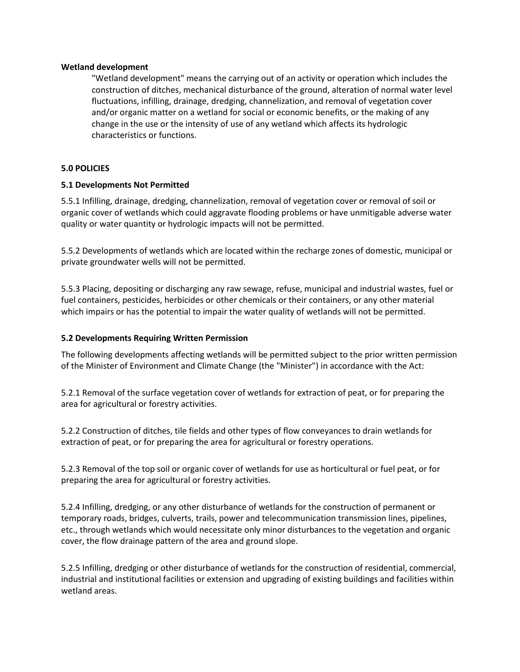#### **Wetland development**

"Wetland development" means the carrying out of an activity or operation which includes the construction of ditches, mechanical disturbance of the ground, alteration of normal water level fluctuations, infilling, drainage, dredging, channelization, and removal of vegetation cover and/or organic matter on a wetland for social or economic benefits, or the making of any change in the use or the intensity of use of any wetland which affects its hydrologic characteristics or functions.

#### **5.0 POLICIES**

#### **5.1 Developments Not Permitted**

5.5.1 Infilling, drainage, dredging, channelization, removal of vegetation cover or removal of soil or organic cover of wetlands which could aggravate flooding problems or have unmitigable adverse water quality or water quantity or hydrologic impacts will not be permitted.

5.5.2 Developments of wetlands which are located within the recharge zones of domestic, municipal or private groundwater wells will not be permitted.

5.5.3 Placing, depositing or discharging any raw sewage, refuse, municipal and industrial wastes, fuel or fuel containers, pesticides, herbicides or other chemicals or their containers, or any other material which impairs or has the potential to impair the water quality of wetlands will not be permitted.

#### **5.2 Developments Requiring Written Permission**

The following developments affecting wetlands will be permitted subject to the prior written permission of the Minister of Environment and Climate Change (the "Minister") in accordance with the Act:

5.2.1 Removal of the surface vegetation cover of wetlands for extraction of peat, or for preparing the area for agricultural or forestry activities.

5.2.2 Construction of ditches, tile fields and other types of flow conveyances to drain wetlands for extraction of peat, or for preparing the area for agricultural or forestry operations.

5.2.3 Removal of the top soil or organic cover of wetlands for use as horticultural or fuel peat, or for preparing the area for agricultural or forestry activities.

5.2.4 Infilling, dredging, or any other disturbance of wetlands for the construction of permanent or temporary roads, bridges, culverts, trails, power and telecommunication transmission lines, pipelines, etc., through wetlands which would necessitate only minor disturbances to the vegetation and organic cover, the flow drainage pattern of the area and ground slope.

5.2.5 Infilling, dredging or other disturbance of wetlands for the construction of residential, commercial, industrial and institutional facilities or extension and upgrading of existing buildings and facilities within wetland areas.